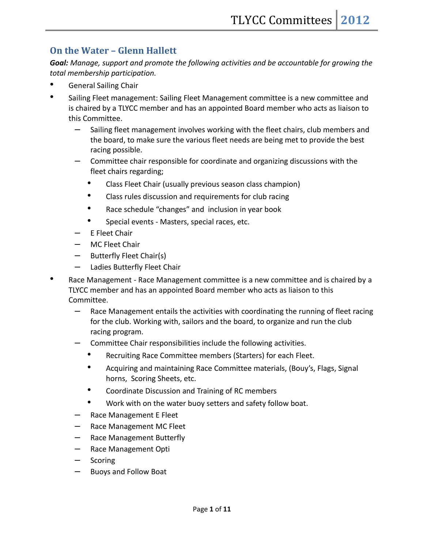### **On the Water – Glenn Hallett**

*Goal: Manage, support and promote the following activities and be accountable for growing the total membership participation.*

- General Sailing Chair
- Sailing Fleet management: Sailing Fleet Management committee is a new committee and is chaired by a TLYCC member and has an appointed Board member who acts as liaison to this Committee.
	- Sailing fleet management involves working with the fleet chairs, club members and the board, to make sure the various fleet needs are being met to provide the best racing possible.
	- Committee chair responsible for coordinate and organizing discussions with the fleet chairs regarding;
		- Class Fleet Chair (usually previous season class champion)
		- Class rules discussion and requirements for club racing
		- Race schedule "changes" and inclusion in year book
		- Special events Masters, special races, etc.
	- E Fleet Chair
	- MC Fleet Chair
	- Butterfly Fleet Chair(s)
	- Ladies Butterfly Fleet Chair
- Race Management Race Management committee is a new committee and is chaired by a TLYCC member and has an appointed Board member who acts as liaison to this Committee.
	- Race Management entails the activities with coordinating the running of fleet racing for the club. Working with, sailors and the board, to organize and run the club racing program.
	- Committee Chair responsibilities include the following activities.
		- Recruiting Race Committee members (Starters) for each Fleet.
		- Acquiring and maintaining Race Committee materials, (Bouy's, Flags, Signal horns, Scoring Sheets, etc.
		- Coordinate Discussion and Training of RC members
		- Work with on the water buoy setters and safety follow boat.
	- Race Management E Fleet
	- Race Management MC Fleet
	- Race Management Butterfly
	- Race Management Opti
	- Scoring
	- Buoys and Follow Boat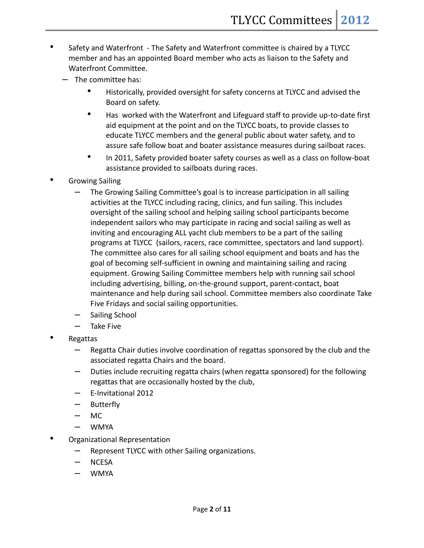- Safety and Waterfront The Safety and Waterfront committee is chaired by a TLYCC member and has an appointed Board member who acts as liaison to the Safety and Waterfront Committee.
	- The committee has:
		- Historically, provided oversight for safety concerns at TLYCC and advised the Board on safety.
		- Has worked with the Waterfront and Lifeguard staff to provide up-to-date first aid equipment at the point and on the TLYCC boats, to provide classes to educate TLYCC members and the general public about water safety, and to assure safe follow boat and boater assistance measures during sailboat races.
		- In 2011, Safety provided boater safety courses as well as a class on follow-boat assistance provided to sailboats during races.
- Growing Sailing
	- The Growing Sailing Committee's goal is to increase participation in all sailing activities at the TLYCC including racing, clinics, and fun sailing. This includes oversight of the sailing school and helping sailing school participants become independent sailors who may participate in racing and social sailing as well as inviting and encouraging ALL yacht club members to be a part of the sailing programs at TLYCC (sailors, racers, race committee, spectators and land support). The committee also cares for all sailing school equipment and boats and has the goal of becoming self-sufficient in owning and maintaining sailing and racing equipment. Growing Sailing Committee members help with running sail school including advertising, billing, on-the-ground support, parent-contact, boat maintenance and help during sail school. Committee members also coordinate Take Five Fridays and social sailing opportunities.
	- Sailing School
	- Take Five
- Regattas
	- Regatta Chair duties involve coordination of regattas sponsored by the club and the associated regatta Chairs and the board.
	- Duties include recruiting regatta chairs (when regatta sponsored) for the following regattas that are occasionally hosted by the club,
	- E-Invitational 2012
	- **Butterfly**
	- MC
	- WMYA
- Organizational Representation
	- Represent TLYCC with other Sailing organizations.
	- NCESA
	- WMYA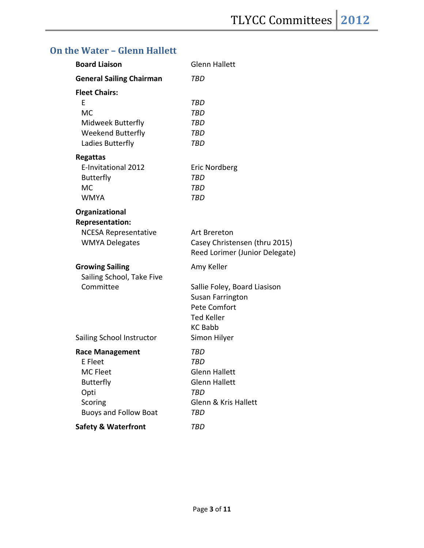# **On the Water – Glenn Hallett**

| <b>Board Liaison</b>            | <b>Glenn Hallett</b>            |
|---------------------------------|---------------------------------|
| <b>General Sailing Chairman</b> | TBD                             |
| <b>Fleet Chairs:</b>            |                                 |
| F                               | TBD                             |
| <b>MC</b>                       | TBD                             |
| Midweek Butterfly               | TBD                             |
| <b>Weekend Butterfly</b>        | TBD                             |
| Ladies Butterfly                | TBD                             |
| <b>Regattas</b>                 |                                 |
| E-Invitational 2012             | Eric Nordberg                   |
| <b>Butterfly</b>                | TBD                             |
| MC                              | TBD                             |
| <b>WMYA</b>                     | TBD                             |
| Organizational                  |                                 |
| <b>Representation:</b>          |                                 |
| <b>NCESA Representative</b>     | Art Brereton                    |
| <b>WMYA Delegates</b>           | Casey Christensen (thru 2015)   |
|                                 | Reed Lorimer (Junior Delegate)  |
| <b>Growing Sailing</b>          | Amy Keller                      |
| Sailing School, Take Five       |                                 |
| Committee                       | Sallie Foley, Board Liasison    |
|                                 | Susan Farrington                |
|                                 | Pete Comfort                    |
|                                 | <b>Ted Keller</b>               |
|                                 | <b>KC Babb</b>                  |
| Sailing School Instructor       | Simon Hilyer                    |
| <b>Race Management</b>          | TBD                             |
| E Fleet                         | TBD                             |
| <b>MC Fleet</b>                 | Glenn Hallett                   |
| <b>Butterfly</b>                | <b>Glenn Hallett</b>            |
| Opti                            | TBD                             |
| Scoring                         | <b>Glenn &amp; Kris Hallett</b> |
| <b>Buoys and Follow Boat</b>    | TBD                             |
| <b>Safety &amp; Waterfront</b>  | TBD                             |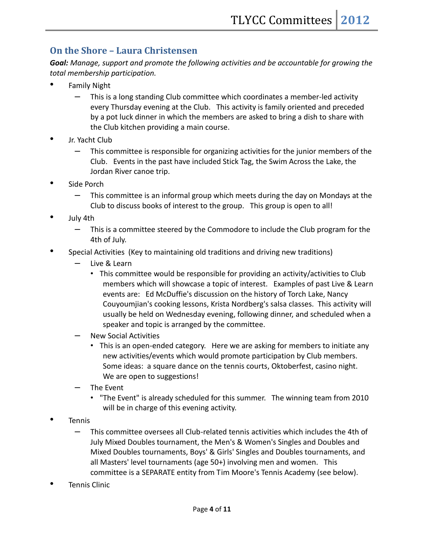## **On the Shore – Laura Christensen**

*Goal: Manage, support and promote the following activities and be accountable for growing the total membership participation.*

- Family Night
	- This is a long standing Club committee which coordinates a member-led activity every Thursday evening at the Club. This activity is family oriented and preceded by a pot luck dinner in which the members are asked to bring a dish to share with the Club kitchen providing a main course.
- Jr. Yacht Club
	- This committee is responsible for organizing activities for the junior members of the Club. Events in the past have included Stick Tag, the Swim Across the Lake, the Jordan River canoe trip.
- Side Porch
	- This committee is an informal group which meets during the day on Mondays at the Club to discuss books of interest to the group. This group is open to all!
- July 4th
	- This is a committee steered by the Commodore to include the Club program for the 4th of July.
- Special Activities (Key to maintaining old traditions and driving new traditions)
	- Live & Learn
		- This committee would be responsible for providing an activity/activities to Club members which will showcase a topic of interest. Examples of past Live & Learn events are: Ed McDuffie's discussion on the history of Torch Lake, Nancy Couyoumjian's cooking lessons, Krista Nordberg's salsa classes. This activity will usually be held on Wednesday evening, following dinner, and scheduled when a speaker and topic is arranged by the committee.
	- New Social Activities
		- This is an open-ended category. Here we are asking for members to initiate any new activities/events which would promote participation by Club members. Some ideas: a square dance on the tennis courts, Oktoberfest, casino night. We are open to suggestions!
	- The Event
		- "The Event" is already scheduled for this summer. The winning team from 2010 will be in charge of this evening activity.
- Tennis
	- This committee oversees all Club-related tennis activities which includes the 4th of July Mixed Doubles tournament, the Men's & Women's Singles and Doubles and Mixed Doubles tournaments, Boys' & Girls' Singles and Doubles tournaments, and all Masters' level tournaments (age 50+) involving men and women. This committee is a SEPARATE entity from Tim Moore's Tennis Academy (see below).
- Tennis Clinic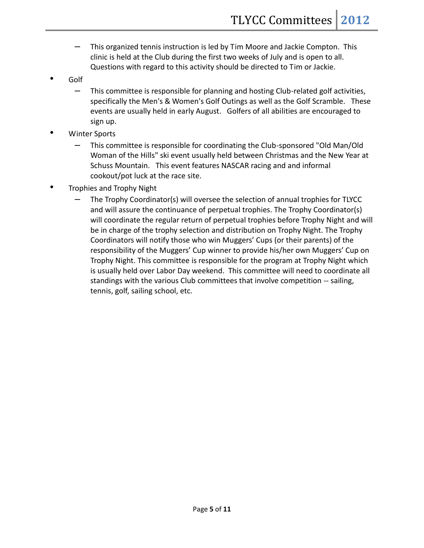- This organized tennis instruction is led by Tim Moore and Jackie Compton. This clinic is held at the Club during the first two weeks of July and is open to all. Questions with regard to this activity should be directed to Tim or Jackie.
- Golf
	- This committee is responsible for planning and hosting Club-related golf activities, specifically the Men's & Women's Golf Outings as well as the Golf Scramble. These events are usually held in early August. Golfers of all abilities are encouraged to sign up.
- Winter Sports
	- This committee is responsible for coordinating the Club-sponsored "Old Man/Old Woman of the Hills" ski event usually held between Christmas and the New Year at Schuss Mountain. This event features NASCAR racing and and informal cookout/pot luck at the race site.
- Trophies and Trophy Night
	- The Trophy Coordinator(s) will oversee the selection of annual trophies for TLYCC and will assure the continuance of perpetual trophies. The Trophy Coordinator(s) will coordinate the regular return of perpetual trophies before Trophy Night and will be in charge of the trophy selection and distribution on Trophy Night. The Trophy Coordinators will notify those who win Muggers' Cups (or their parents) of the responsibility of the Muggers' Cup winner to provide his/her own Muggers' Cup on Trophy Night. This committee is responsible for the program at Trophy Night which is usually held over Labor Day weekend. This committee will need to coordinate all standings with the various Club committees that involve competition -- sailing, tennis, golf, sailing school, etc.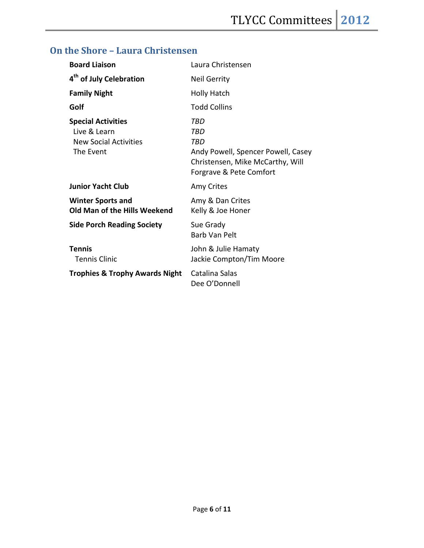# **On the Shore – Laura Christensen**

| <b>Board Liaison</b>                                                                   | Laura Christensen                                                                                                      |
|----------------------------------------------------------------------------------------|------------------------------------------------------------------------------------------------------------------------|
| 4 <sup>th</sup> of July Celebration                                                    | <b>Neil Gerrity</b>                                                                                                    |
| <b>Family Night</b>                                                                    | <b>Holly Hatch</b>                                                                                                     |
| Golf                                                                                   | <b>Todd Collins</b>                                                                                                    |
| <b>Special Activities</b><br>Live & Learn<br><b>New Social Activities</b><br>The Event | TBD<br>TBD<br>TRD<br>Andy Powell, Spencer Powell, Casey<br>Christensen, Mike McCarthy, Will<br>Forgrave & Pete Comfort |
| <b>Junior Yacht Club</b>                                                               | Amy Crites                                                                                                             |
| <b>Winter Sports and</b><br>Old Man of the Hills Weekend                               | Amy & Dan Crites<br>Kelly & Joe Honer                                                                                  |
| <b>Side Porch Reading Society</b>                                                      | Sue Grady<br>Barb Van Pelt                                                                                             |
| <b>Tennis</b><br><b>Tennis Clinic</b>                                                  | John & Julie Hamaty<br>Jackie Compton/Tim Moore                                                                        |
| <b>Trophies &amp; Trophy Awards Night</b>                                              | Catalina Salas<br>Dee O'Donnell                                                                                        |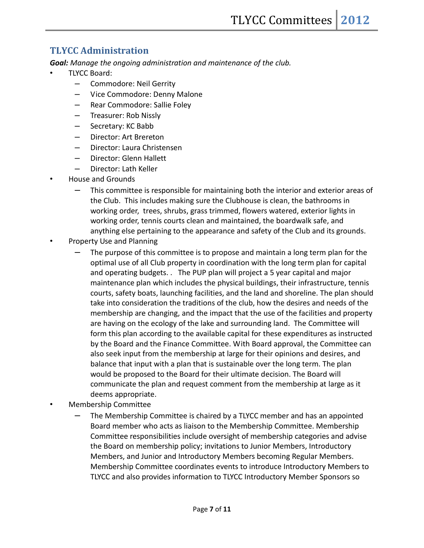### **TLYCC Administration**

*Goal: Manage the ongoing administration and maintenance of the club.*

- TLYCC Board:
	- Commodore: Neil Gerrity
	- Vice Commodore: Denny Malone
	- Rear Commodore: Sallie Foley
	- Treasurer: Rob Nissly
	- Secretary: KC Babb
	- Director: Art Brereton
	- Director: Laura Christensen
	- Director: Glenn Hallett
	- Director: Lath Keller
- House and Grounds
	- This committee is responsible for maintaining both the interior and exterior areas of the Club. This includes making sure the Clubhouse is clean, the bathrooms in working order, trees, shrubs, grass trimmed, flowers watered, exterior lights in working order, tennis courts clean and maintained, the boardwalk safe, and anything else pertaining to the appearance and safety of the Club and its grounds.
- Property Use and Planning
	- The purpose of this committee is to propose and maintain a long term plan for the optimal use of all Club property in coordination with the long term plan for capital and operating budgets. . The PUP plan will project a 5 year capital and major maintenance plan which includes the physical buildings, their infrastructure, tennis courts, safety boats, launching facilities, and the land and shoreline. The plan should take into consideration the traditions of the club, how the desires and needs of the membership are changing, and the impact that the use of the facilities and property are having on the ecology of the lake and surrounding land. The Committee will form this plan according to the available capital for these expenditures as instructed by the Board and the Finance Committee. With Board approval, the Committee can also seek input from the membership at large for their opinions and desires, and balance that input with a plan that is sustainable over the long term. The plan would be proposed to the Board for their ultimate decision. The Board will communicate the plan and request comment from the membership at large as it deems appropriate.
- Membership Committee
	- The Membership Committee is chaired by a TLYCC member and has an appointed Board member who acts as liaison to the Membership Committee. Membership Committee responsibilities include oversight of membership categories and advise the Board on membership policy; invitations to Junior Members, Introductory Members, and Junior and Introductory Members becoming Regular Members. Membership Committee coordinates events to introduce Introductory Members to TLYCC and also provides information to TLYCC Introductory Member Sponsors so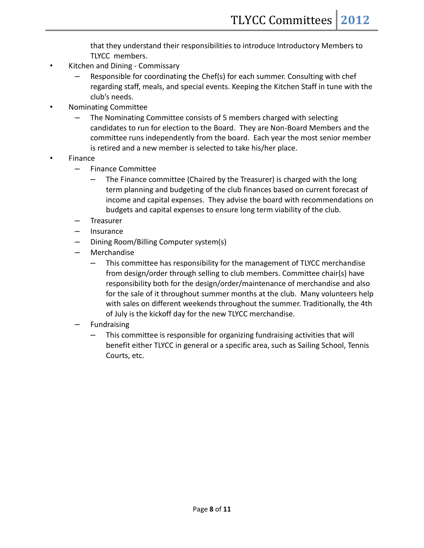that they understand their responsibilities to introduce Introductory Members to TLYCC members.

- Kitchen and Dining Commissary
	- Responsible for coordinating the Chef(s) for each summer. Consulting with chef regarding staff, meals, and special events. Keeping the Kitchen Staff in tune with the club's needs.
- Nominating Committee
	- The Nominating Committee consists of 5 members charged with selecting candidates to run for election to the Board. They are Non-Board Members and the committee runs independently from the board. Each year the most senior member is retired and a new member is selected to take his/her place.
- Finance
	- Finance Committee
		- The Finance committee (Chaired by the Treasurer) is charged with the long term planning and budgeting of the club finances based on current forecast of income and capital expenses. They advise the board with recommendations on budgets and capital expenses to ensure long term viability of the club.
	- Treasurer
	- Insurance
	- Dining Room/Billing Computer system(s)
	- Merchandise
		- This committee has responsibility for the management of TLYCC merchandise from design/order through selling to club members. Committee chair(s) have responsibility both for the design/order/maintenance of merchandise and also for the sale of it throughout summer months at the club. Many volunteers help with sales on different weekends throughout the summer. Traditionally, the 4th of July is the kickoff day for the new TLYCC merchandise.
	- **Fundraising** 
		- This committee is responsible for organizing fundraising activities that will benefit either TLYCC in general or a specific area, such as Sailing School, Tennis Courts, etc.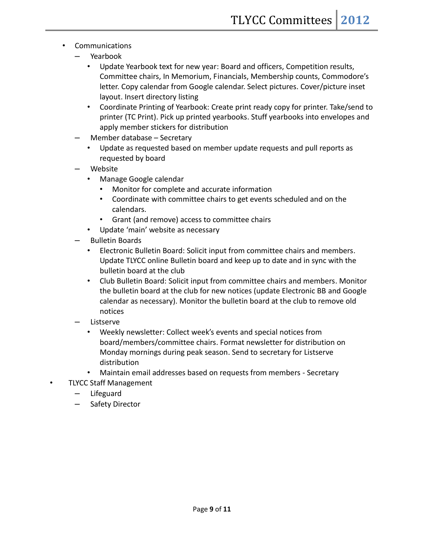- **Communications** 
	- Yearbook
		- Update Yearbook text for new year: Board and officers, Competition results, Committee chairs, In Memorium, Financials, Membership counts, Commodore's letter. Copy calendar from Google calendar. Select pictures. Cover/picture inset layout. Insert directory listing
		- Coordinate Printing of Yearbook: Create print ready copy for printer. Take/send to printer (TC Print). Pick up printed yearbooks. Stuff yearbooks into envelopes and apply member stickers for distribution
	- Member database Secretary
		- Update as requested based on member update requests and pull reports as requested by board
	- Website
		- Manage Google calendar
			- Monitor for complete and accurate information
			- Coordinate with committee chairs to get events scheduled and on the calendars.
			- Grant (and remove) access to committee chairs
		- Update 'main' website as necessary
	- Bulletin Boards
		- Electronic Bulletin Board: Solicit input from committee chairs and members. Update TLYCC online Bulletin board and keep up to date and in sync with the bulletin board at the club
		- Club Bulletin Board: Solicit input from committee chairs and members. Monitor the bulletin board at the club for new notices (update Electronic BB and Google calendar as necessary). Monitor the bulletin board at the club to remove old notices
	- Listserve
		- Weekly newsletter: Collect week's events and special notices from board/members/committee chairs. Format newsletter for distribution on Monday mornings during peak season. Send to secretary for Listserve distribution
		- Maintain email addresses based on requests from members Secretary
- TLYCC Staff Management
	- Lifeguard
	- Safety Director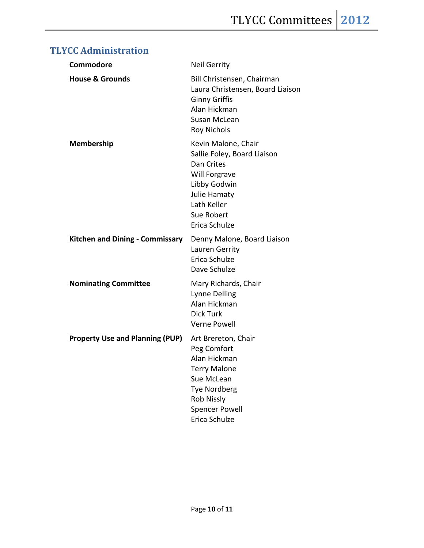| Commodore                              | <b>Neil Gerrity</b>                                                                                                                                                    |
|----------------------------------------|------------------------------------------------------------------------------------------------------------------------------------------------------------------------|
| <b>House &amp; Grounds</b>             | Bill Christensen, Chairman<br>Laura Christensen, Board Liaison<br><b>Ginny Griffis</b><br>Alan Hickman<br>Susan McLean<br><b>Roy Nichols</b>                           |
| <b>Membership</b>                      | Kevin Malone, Chair<br>Sallie Foley, Board Liaison<br>Dan Crites<br>Will Forgrave<br>Libby Godwin<br>Julie Hamaty<br>Lath Keller<br>Sue Robert<br>Erica Schulze        |
| <b>Kitchen and Dining - Commissary</b> | Denny Malone, Board Liaison<br>Lauren Gerrity<br>Erica Schulze<br>Dave Schulze                                                                                         |
| <b>Nominating Committee</b>            | Mary Richards, Chair<br><b>Lynne Delling</b><br>Alan Hickman<br><b>Dick Turk</b><br><b>Verne Powell</b>                                                                |
| <b>Property Use and Planning (PUP)</b> | Art Brereton, Chair<br>Peg Comfort<br>Alan Hickman<br>Terry Malone<br>Sue McLean<br><b>Tye Nordberg</b><br><b>Rob Nissly</b><br><b>Spencer Powell</b><br>Erica Schulze |

## **TLYCC Administration**